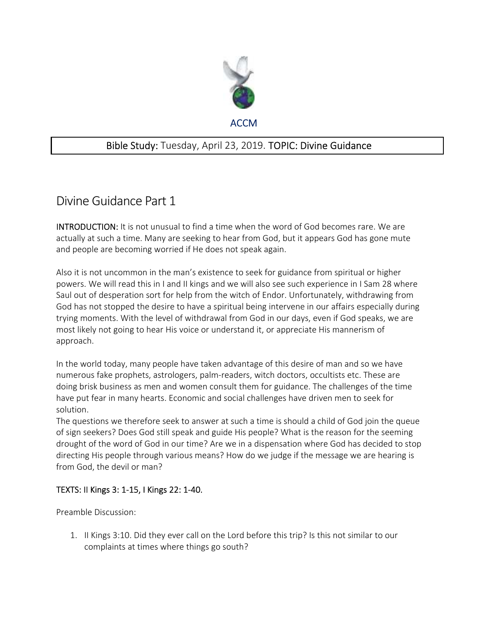

## Bible Study: Tuesday, April 23, 2019. TOPIC: Divine Guidance

## Divine Guidance Part 1

INTRODUCTION: It is not unusual to find a time when the word of God becomes rare. We are actually at such a time. Many are seeking to hear from God, but it appears God has gone mute and people are becoming worried if He does not speak again.

Also it is not uncommon in the man's existence to seek for guidance from spiritual or higher powers. We will read this in I and II kings and we will also see such experience in I Sam 28 where Saul out of desperation sort for help from the witch of Endor. Unfortunately, withdrawing from God has not stopped the desire to have a spiritual being intervene in our affairs especially during trying moments. With the level of withdrawal from God in our days, even if God speaks, we are most likely not going to hear His voice or understand it, or appreciate His mannerism of approach.

In the world today, many people have taken advantage of this desire of man and so we have numerous fake prophets, astrologers, palm-readers, witch doctors, occultists etc. These are doing brisk business as men and women consult them for guidance. The challenges of the time have put fear in many hearts. Economic and social challenges have driven men to seek for solution.

The questions we therefore seek to answer at such a time is should a child of God join the queue of sign seekers? Does God still speak and guide His people? What is the reason for the seeming drought of the word of God in our time? Are we in a dispensation where God has decided to stop directing His people through various means? How do we judge if the message we are hearing is from God, the devil or man?

## TEXTS: II Kings 3: 1-15, I Kings 22: 1-40.

Preamble Discussion:

1. II Kings 3:10. Did they ever call on the Lord before this trip? Is this not similar to our complaints at times where things go south?